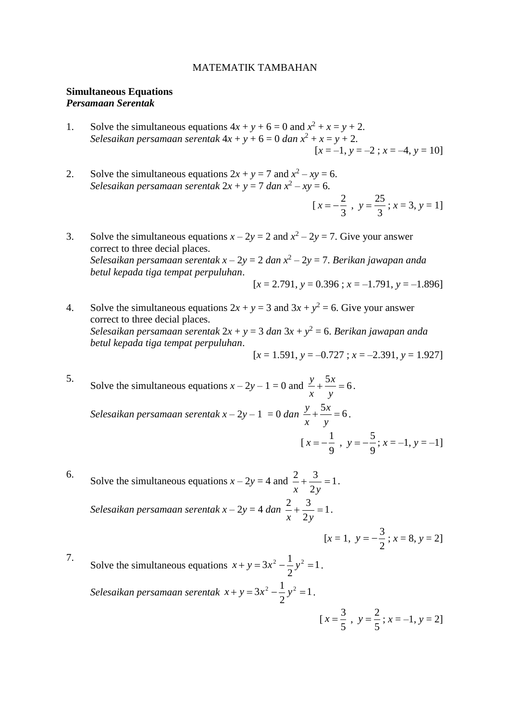### MATEMATIK TAMBAHAN

## **Simultaneous Equations** *Persamaan Serentak*

- 1. Solve the simultaneous equations  $4x + y + 6 = 0$  and  $x^2 + x = y + 2$ . *Selesaikan persamaan serentak* 4*x* + *y* + 6 = 0 *dan x* <sup>2</sup> + *x* = *y* + 2.  $[x = -1, y = -2; x = -4, y = 10]$
- 2. Solve the simultaneous equations  $2x + y = 7$  and  $x^2 xy = 6$ . *Selesaikan persamaan serentak* 2*x* + *y* = 7 *dan x* 2 – *xy* = 6.

$$
[x = -\frac{2}{3}, y = \frac{25}{3}; x = 3, y = 1]
$$

- 3. Solve the simultaneous equations  $x 2y = 2$  and  $x^2 2y = 7$ . Give your answer correct to three decial places. *Selesaikan persamaan serentak x* – 2*y* = 2 *dan x* 2 – 2*y* = 7. *Berikan jawapan anda betul kepada tiga tempat perpuluhan*.  $[x = 2.791, y = 0.396; x = -1.791, y = -1.896]$
- 4. Solve the simultaneous equations  $2x + y = 3$  and  $3x + y^2 = 6$ . Give your answer correct to three decial places. *Selesaikan persamaan serentak* 2*x* + *y* = 3 *dan* 3*x* + *y* <sup>2</sup> = 6. *Berikan jawapan anda betul kepada tiga tempat perpuluhan*.  $[x = 1.591, y = -0.727; x = -2.391, y = 1.927]$

5. Solve the simultaneous equations  $x - 2y - 1 = 0$  and  $\frac{y}{x} + \frac{5x}{x} = 6$ *y x x*  $\frac{y}{-} + \frac{5x}{-} = 6$ . *Selesaikan persamaan serentak x* – 2*y* – 1 = 0 *dan* 6 5 *y x x*  $\frac{y}{-} + \frac{5x}{-} = 6$ . [ 9  $x = -\frac{1}{\epsilon}$ , 9  $y = -\frac{5}{6}$ ;  $x = -1$ ,  $y = -1$ ]

6. Solve the simultaneous equations  $x - 2y = 4$  and  $\frac{2}{x} + \frac{3}{x} = 1$ 2  $\frac{2}{2} + \frac{3}{2} =$ *x* 2*y* . *Selesaikan persamaan serentak*  $x - 2y = 4$  *dan*  $\frac{2}{x} + \frac{3}{x} = 1$ 2  $\frac{2}{2} + \frac{3}{2} =$ *x* 2*y* .

$$
[x = 1, y = -\frac{3}{2}; x = 8, y = 2]
$$

5

5

7. Solve the simultaneous equations  $x + y = 3x^2 - \frac{1}{x}y^2 = 1$ 2  $x + y = 3x^2 - \frac{1}{2}y^2 = 1$ . *Selesaikan persamaan serentak*  $x + y = 3x^2 - \frac{1}{2}y^2 = 1$ 2  $x + y = 3x^2 - \frac{1}{2}y^2 = 1$ . [  $x=\frac{3}{x}$ ,  $y = \frac{2}{7}$ ;  $x = -1$ ,  $y = 2$ ]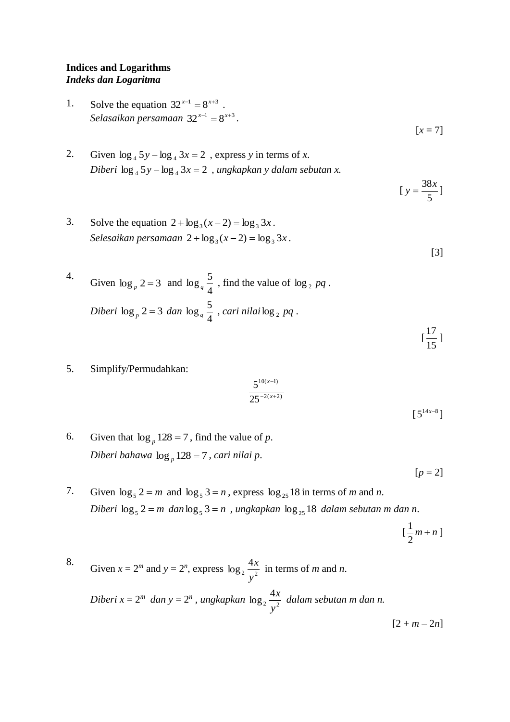## **Indices and Logarithms** *Indeks dan Logaritma*

- 1. Solve the equation  $32^{x-1} = 8^{x+3}$ . Selasaikan persamaan  $32^{x-1} = 8^{x+3}$ .
- 2. Given  $\log_4 5y \log_4 3x = 2$ , express *y* in terms of *x*. *Diberi*  $\log_4 5y - \log_4 3x = 2$ , ungkapkan y dalam sebutan x.
- 3. Solve the equation  $2 + \log_3(x 2) = \log_3 3x$ .  $\textit{Selesaikan }$  persamaan  $2 + \log_3(x-2) = \log_3 3x$ .

4. Given 
$$
\log_p 2 = 3
$$
 and  $\log_q \frac{5}{4}$ , find the value of  $\log_2 pq$ .  
\n*Diberi*  $\log_p 2 = 3$  *dan*  $\log_q \frac{5}{4}$ , *cari nilai*  $\log_2 pq$ .

5. Simplify/Permudahkan:

$$
\frac{5^{10(x-1)}}{25^{-2(x+2)}}
$$

 $[5^{14x-8}]$ 

15

 $[x = 7]$ 

5  $y = \frac{38x}{7}$ 

[3]

[

6. Given that  $\log_p 128 = 7$ , find the value of *p*. *Diberi bahawa*  log *<sup>p</sup>* 128 7 *, cari nilai p*.

 $[p = 2]$ 

7. Given  $\log_5 2 = m$  and  $\log_5 3 = n$ , express  $\log_{25} 18$  in terms of *m* and *n*.  $Diberi \log_5 2 = m \, dan \log_5 3 = n$ , ungkapkan  $\log_{25} 18$  dalam sebutan m dan n.

$$
[\frac{1}{2}m+n]
$$

8. Given  $x = 2^m$  and  $y = 2^n$ , express  $\log_2 \frac{4x}{x^2}$  $\log_2 \frac{4}{1}$ *y*  $\frac{x}{2}$  in terms of *m* and *n*. *Diberi x* =  $2^m$  *dan y* =  $2^n$ *, ungkapkan*  $\log_2 \frac{4x}{x^2}$  $\log_2 \frac{4}{1}$ *y x dalam sebutan m dan n.*  $[2 + m - 2n]$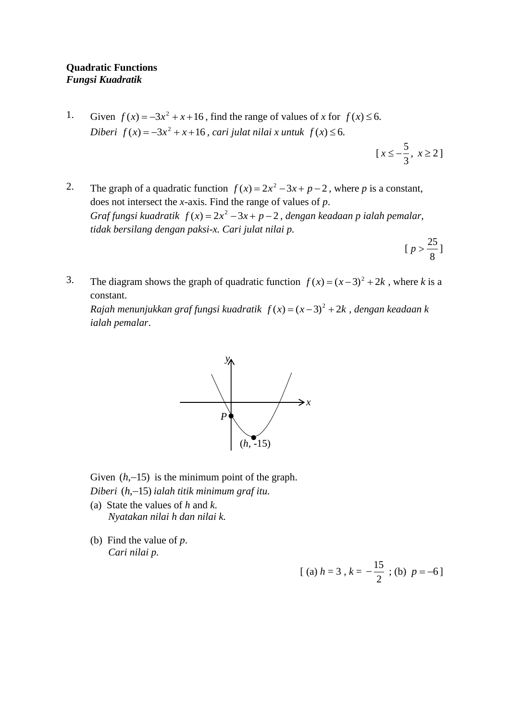1. Given  $f(x) = -3x^2 + x + 16$ , find the range of values of *x* for  $f(x) \le 6$ . *Diberi*  $f(x) = -3x^2 + x + 16$ , cari julat nilai x untuk  $f(x) \le 6$ .

> [ 3  $x \leq -\frac{5}{3}, x \geq 2$

- 2. The graph of a quadratic function  $f(x) = 2x^2 3x + p 2$ , where *p* is a constant, does not intersect the *x*-axis. Find the range of values of *p*. *Graf fungsi kuadratik*  $f(x) = 2x^2 - 3x + p - 2$ , dengan keadaan p ialah pemalar, *tidak bersilang dengan paksi-x. Cari julat nilai p.*
	- [ 8  $p > \frac{25}{9}$
- 3. The diagram shows the graph of quadratic function  $f(x) = (x-3)^2 + 2k$ , where *k* is a constant.

*Rajah menunjukkan graf fungsi kuadratik*  $f(x) = (x-3)^2 + 2k$ , dengan keadaan k *ialah pemalar*.



Given  $(h, -15)$  is the minimum point of the graph.

- *Diberi*  (*h*,15) *ialah titik minimum graf itu.*
- (a) State the values of *h* and *k*. *Nyatakan nilai h dan nilai k.*
- (b) Find the value of *p*. *Cari nilai p.*

$$
[ (a) h = 3 , k = -\frac{15}{2} ; (b) p = -6 ]
$$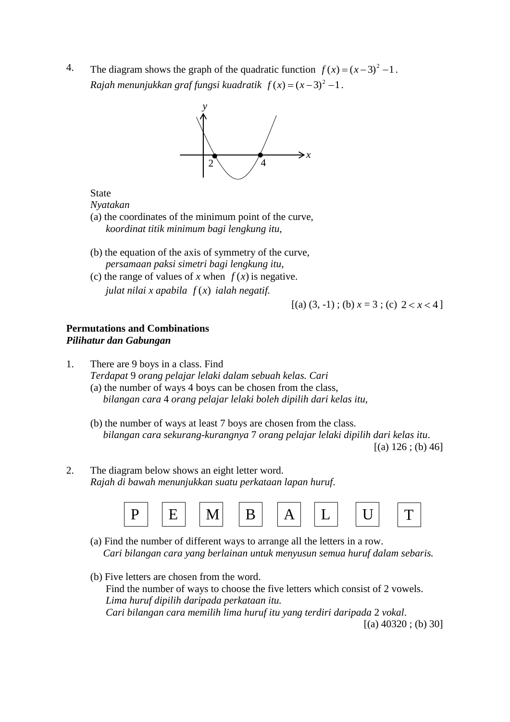4. The diagram shows the graph of the quadratic function  $f(x) = (x-3)^2 - 1$ . *Rajah menunjukkan graf fungsi kuadratik*  $f(x) = (x-3)^2 - 1$ .



State

*Nyatakan*

- (a) the coordinates of the minimum point of the curve, *koordinat titik minimum bagi lengkung itu,*
- (b) the equation of the axis of symmetry of the curve, *persamaan paksi simetri bagi lengkung itu,*
- (c) the range of values of *x* when  $f(x)$  is negative. *julat nilai x apabila f* (*x*) *ialah negatif.*

 $[(a) (3, -1)$ ; (b)  $x = 3$ ; (c)  $2 < x < 4$ 

# **Permutations and Combinations** *Pilihatur dan Gabungan*

- 1. There are 9 boys in a class. Find *Terdapat* 9 *orang pelajar lelaki dalam sebuah kelas. Cari* (a) the number of ways 4 boys can be chosen from the class, *bilangan cara* 4 *orang pelajar lelaki boleh dipilih dari kelas itu,*
	- (b) the number of ways at least 7 boys are chosen from the class. *bilangan cara sekurang-kurangnya* 7 *orang pelajar lelaki dipilih dari kelas itu*.  $[(a) 126 ; (b) 46]$
- 2. The diagram below shows an eight letter word. *Rajah di bawah menunjukkan suatu perkataan lapan huruf*.



- (a) Find the number of different ways to arrange all the letters in a row. *Cari bilangan cara yang berlainan untuk menyusun semua huruf dalam sebaris.*
- (b) Five letters are chosen from the word. Find the number of ways to choose the five letters which consist of 2 vowels. *Lima huruf dipilih daripada perkataan itu. Cari bilangan cara memilih lima huruf itu yang terdiri daripada* 2 *vokal*.  $[(a) 40320; (b) 30]$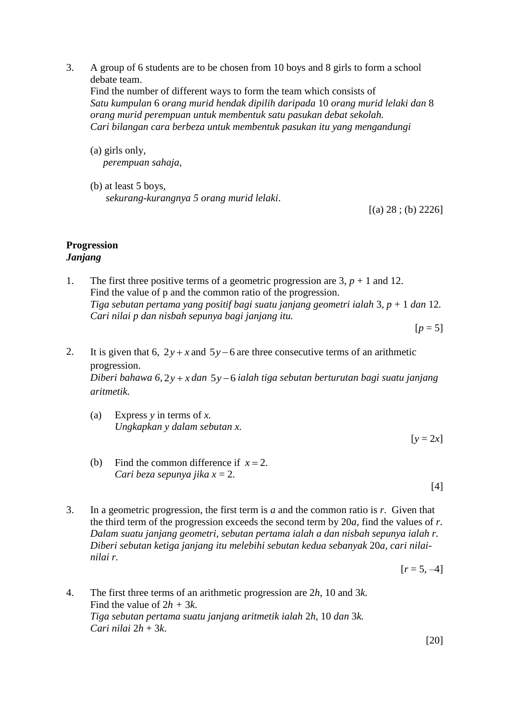3. A group of 6 students are to be chosen from 10 boys and 8 girls to form a school debate team.

Find the number of different ways to form the team which consists of *Satu kumpulan* 6 *orang murid hendak dipilih daripada* 10 *orang murid lelaki dan* 8 *orang murid perempuan untuk membentuk satu pasukan debat sekolah. Cari bilangan cara berbeza untuk membentuk pasukan itu yang mengandungi*

- (a) girls only,  *perempuan sahaja,*
- (b) at least 5 boys, *sekurang-kurangnya 5 orang murid lelaki*.

 $[(a) 28 ; (b) 2226]$ 

## **Progression** *Janjang*

1. The first three positive terms of a geometric progression are  $3, p + 1$  and 12. Find the value of p and the common ratio of the progression. *Tiga sebutan pertama yang positif bagi suatu janjang geometri ialah* 3*, p* + 1 *dan* 12*. Cari nilai p dan nisbah sepunya bagi janjang itu.*

 $[p = 5]$ 

2. It is given that 6,  $2y + x$  and  $5y - 6$  are three consecutive terms of an arithmetic progression.

*Diberi bahawa 6,* 2*y x dan*  5*y* 6 *ialah tiga sebutan berturutan bagi suatu janjang aritmetik.*

(a) Express *y* in terms of *x. Ungkapkan y dalam sebutan x.*

 $[y = 2x]$ 

(b) Find the common difference if  $x = 2$ . *Cari beza sepunya jika x* = 2.

[4]

3. In a geometric progression, the first term is *a* and the common ratio is *r*. Given that the third term of the progression exceeds the second term by 20*a,* find the values of *r*. *Dalam suatu janjang geometri, sebutan pertama ialah a dan nisbah sepunya ialah r. Diberi sebutan ketiga janjang itu melebihi sebutan kedua sebanyak* 20*a, cari nilainilai r.*

 $[r = 5, -4]$ 

4. The first three terms of an arithmetic progression are 2*h*, 10 and 3*k.* Find the value of  $2h + 3k$ . *Tiga sebutan pertama suatu janjang aritmetik ialah* 2*h,* 10 *dan* 3*k. Cari nilai*  $2h + 3k$ .

[20]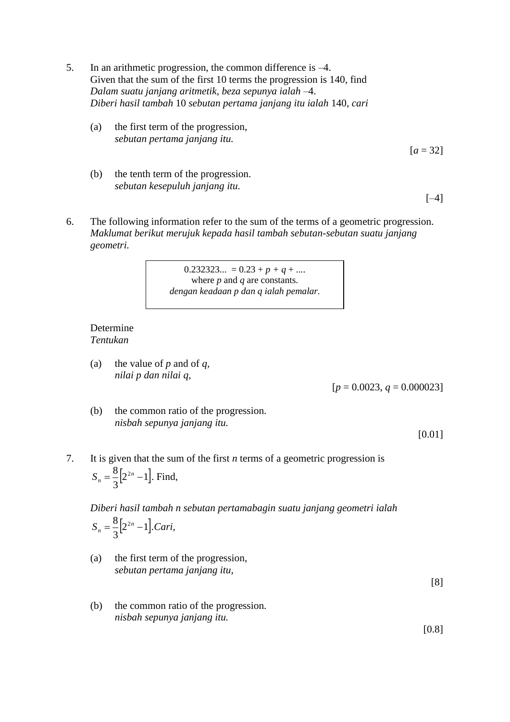- 5. In an arithmetic progression, the common difference is –4. Given that the sum of the first 10 terms the progression is 140*,* find *Dalam suatu janjang aritmetik, beza sepunya ialah* –4. *Diberi hasil tambah* 10 *sebutan pertama janjang itu ialah* 140, *cari*
	- (a) the first term of the progression, *sebutan pertama janjang itu.*

 $[a = 32]$ 

(b) the tenth term of the progression. *sebutan kesepuluh janjang itu.*

 $[-4]$ 

6. The following information refer to the sum of the terms of a geometric progression. *Maklumat berikut merujuk kepada hasil tambah sebutan-sebutan suatu janjang geometri.*

> $0.232323... = 0.23 + p + q + ...$ where *p* and *q* are constants. *dengan keadaan p dan q ialah pemalar.*

## Determine *Tentukan*

(a) the value of *p* and of *q, nilai p dan nilai q,*

 $[p = 0.0023, q = 0.000023]$ 

(b) the common ratio of the progression. *nisbah sepunya janjang itu.*

[0.01]

7. It is given that the sum of the first *n* terms of a geometric progression is  $|2^{2n}-1|$ . 3  $S_n = \frac{8}{2} [2^{2n} - 1]$ . Find,

*Diberi hasil tambah n sebutan pertamabagin suatu janjang geometri ialah* 

$$
S_n = \frac{8}{3} \Big[ 2^{2n} - 1 \Big]. \nCari,
$$

(a) the first term of the progression, *sebutan pertama janjang itu,*

[8]

(b) the common ratio of the progression. *nisbah sepunya janjang itu.*

[0.8]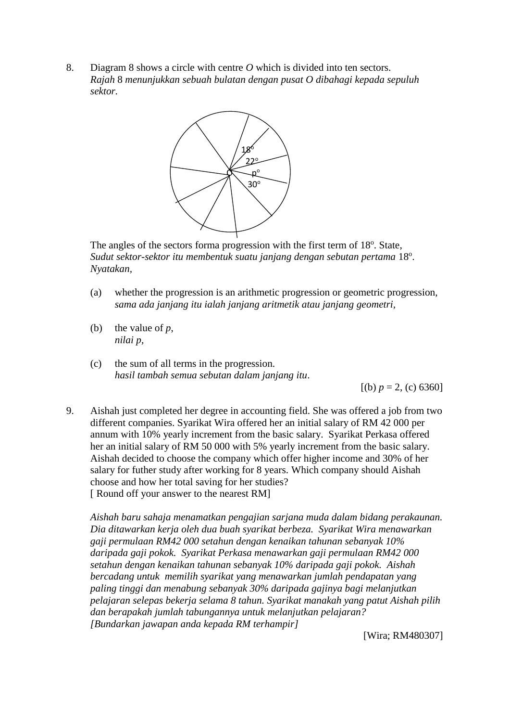8. Diagram 8 shows a circle with centre *O* which is divided into ten sectors. *Rajah* 8 *menunjukkan sebuah bulatan dengan pusat O dibahagi kepada sepuluh sektor.*



The angles of the sectors forma progression with the first term of 18°. State, Sudut sektor-sektor itu membentuk suatu janjang dengan sebutan pertama 18°. *Nyatakan,*

- (a) whether the progression is an arithmetic progression or geometric progression, *sama ada janjang itu ialah janjang aritmetik atau janjang geometri,*
- (b) the value of *p*, *nilai p,*
- (c) the sum of all terms in the progression. *hasil tambah semua sebutan dalam janjang itu*.

 $[(b) p = 2, (c) 6360]$ 

9. Aishah just completed her degree in accounting field. She was offered a job from two different companies. Syarikat Wira offered her an initial salary of RM 42 000 per annum with 10% yearly increment from the basic salary. Syarikat Perkasa offered her an initial salary of RM 50 000 with 5% yearly increment from the basic salary. Aishah decided to choose the company which offer higher income and 30% of her salary for futher study after working for 8 years. Which company should Aishah choose and how her total saving for her studies? [ Round off your answer to the nearest RM]

*Aishah baru sahaja menamatkan pengajian sarjana muda dalam bidang perakaunan. Dia ditawarkan kerja oleh dua buah syarikat berbeza. Syarikat Wira menawarkan gaji permulaan RM42 000 setahun dengan kenaikan tahunan sebanyak 10% daripada gaji pokok. Syarikat Perkasa menawarkan gaji permulaan RM42 000 setahun dengan kenaikan tahunan sebanyak 10% daripada gaji pokok. Aishah bercadang untuk memilih syarikat yang menawarkan jumlah pendapatan yang paling tinggi dan menabung sebanyak 30% daripada gajinya bagi melanjutkan pelajaran selepas bekerja selama 8 tahun. Syarikat manakah yang patut Aishah pilih dan berapakah jumlah tabungannya untuk melanjutkan pelajaran? [Bundarkan jawapan anda kepada RM terhampir]*

[Wira; RM480307]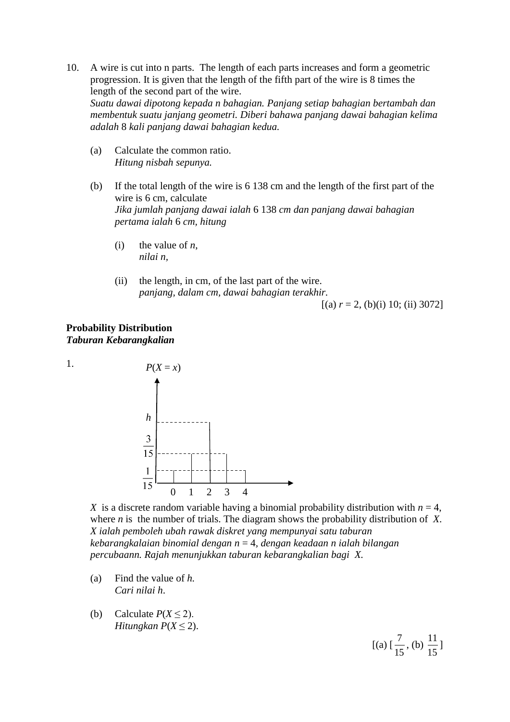- 10. A wire is cut into n parts. The length of each parts increases and form a geometric progression. It is given that the length of the fifth part of the wire is 8 times the length of the second part of the wire. *Suatu dawai dipotong kepada n bahagian. Panjang setiap bahagian bertambah dan membentuk suatu janjang geometri. Diberi bahawa panjang dawai bahagian kelima adalah* 8 *kali panjang dawai bahagian kedua.*
	- (a) Calculate the common ratio. *Hitung nisbah sepunya.*
	- (b) If the total length of the wire is 6 138 cm and the length of the first part of the wire is 6 cm, calculate *Jika jumlah panjang dawai ialah* 6 138 *cm dan panjang dawai bahagian pertama ialah* 6 *cm, hitung*
		- (i) the value of  $n$ , *nilai n,*
		- (ii) the length, in cm, of the last part of the wire. *panjang, dalam cm, dawai bahagian terakhir.*

 $[(a)$   $r = 2$ , (b)(i) 10; (ii) 3072]

## **Probability Distribution** *Taburan Kebarangkalian*

1.



*X* is a discrete random variable having a binomial probability distribution with  $n = 4$ , where *n* is the number of trials. The diagram shows the probability distribution of *X*. *X ialah pemboleh ubah rawak diskret yang mempunyai satu taburan kebarangkalaian binomial dengan n* = 4*, dengan keadaan n ialah bilangan percubaann. Rajah menunjukkan taburan kebarangkalian bagi X.* 

- (a) Find the value of *h. Cari nilai h*.
- (b) Calculate  $P(X \le 2)$ . *Hitungkan*  $P(X \leq 2)$ .

[(a) [ 15  $\frac{7}{2}$ , (b) 15  $\frac{11}{1}$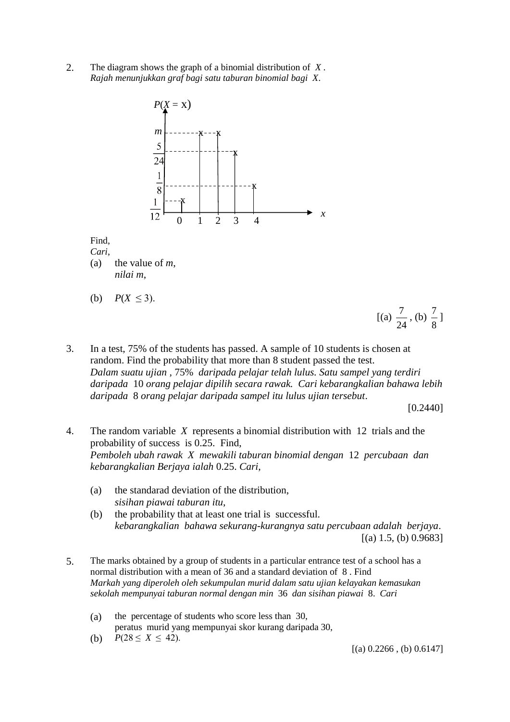2. The diagram shows the graph of a binomial distribution of *X* . *Rajah menunjukkan graf bagi satu taburan binomial bagi X*.



Find,

*Cari*, (a) the value of *m*, *nilai m*,

(b)  $P(X \le 3)$ .

- $[(a)$ 24  $\frac{7}{2}$ , (b) 8  $\frac{7}{2}$ ]
- 3. In a test, 75% of the students has passed. A sample of 10 students is chosen at random. Find the probability that more than 8 student passed the test. *Dalam suatu ujian ,* 75% *daripada pelajar telah lulus. Satu sampel yang terdiri daripada* 10 *orang pelajar dipilih secara rawak. Cari kebarangkalian bahawa lebih daripada* 8 *orang pelajar daripada sampel itu lulus ujian tersebut*.

[0.2440]

- 4. The random variable *X* represents a binomial distribution with 12 trials and the probability of success is 0.25. Find, *Pemboleh ubah rawak X mewakili taburan binomial dengan* 12 *percubaan dan kebarangkalian Berjaya ialah* 0.25. *Cari*,
	- (a) the standarad deviation of the distribution, *sisihan piawai taburan itu*,
	- (b) the probability that at least one trial is successful. *kebarangkalian bahawa sekurang-kurangnya satu percubaan adalah berjaya*.  $[(a) 1.5, (b) 0.9683]$
- 5. The marks obtained by a group of students in a particular entrance test of a school has a normal distribution with a mean of 36 and a standard deviation of 8 . Find *Markah yang diperoleh oleh sekumpulan murid dalam satu ujian kelayakan kemasukan sekolah mempunyai taburan normal dengan min* 36 *dan sisihan piawai* 8. *Cari*
	- (a) the percentage of students who score less than 30, peratus murid yang mempunyai skor kurang daripada 30,
	- (b)  $P(28 \le X \le 42)$ .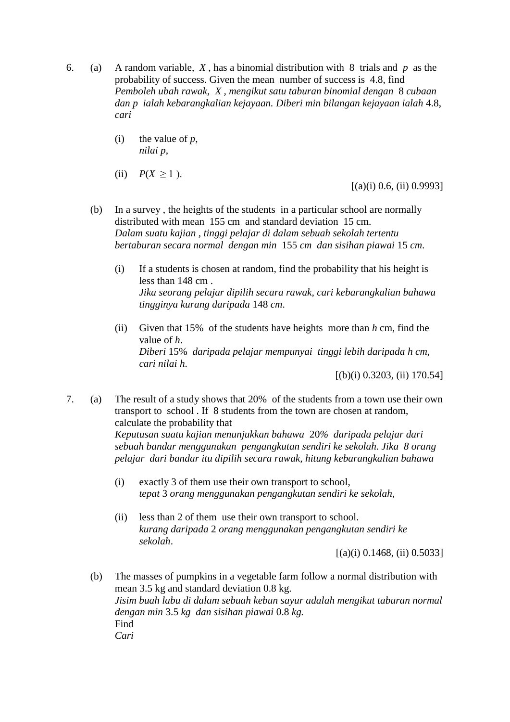- 6. (a) A random variable, *X* , has a binomial distribution with 8 trials and *p* as the probability of success. Given the mean number of success is 4.8, find *Pemboleh ubah rawak, X , mengikut satu taburan binomial dengan* 8 *cubaan dan p ialah kebarangkalian kejayaan. Diberi min bilangan kejayaan ialah* 4.8, *cari*
	- (i) the value of  $p$ , *nilai p*,
	- (ii)  $P(X > 1)$ .

 $[(a)(i) 0.6, (ii) 0.9993]$ 

- (b) In a survey , the heights of the students in a particular school are normally distributed with mean 155 cm and standard deviation 15 cm. *Dalam suatu kajian , tinggi pelajar di dalam sebuah sekolah tertentu bertaburan secara normal dengan min* 155 *cm dan sisihan piawai* 15 *cm*.
	- (i) If a students is chosen at random, find the probability that his height is less than 148 cm . *Jika seorang pelajar dipilih secara rawak, cari kebarangkalian bahawa tingginya kurang daripada* 148 *cm*.
	- (ii) Given that 15% of the students have heights more than *h* cm, find the value of *h*. *Diberi* 15% *daripada pelajar mempunyai tinggi lebih daripada h cm, cari nilai h*.

 $[(b)(i) 0.3203, (ii) 170.54]$ 

7. (a) The result of a study shows that 20% of the students from a town use their own transport to school . If 8 students from the town are chosen at random, calculate the probability that *Keputusan suatu kajian menunjukkan bahawa* 20*% daripada pelajar dari sebuah bandar menggunakan pengangkutan sendiri ke sekolah. Jika 8 orang pelajar dari bandar itu dipilih secara rawak, hitung kebarangkalian bahawa* 

- (i) exactly 3 of them use their own transport to school, *tepat* 3 *orang menggunakan pengangkutan sendiri ke sekolah*,
- (ii) less than 2 of them use their own transport to school. *kurang daripada* 2 *orang menggunakan pengangkutan sendiri ke sekolah*.

 $[(a)(i) 0.1468, (ii) 0.5033]$ 

(b) The masses of pumpkins in a vegetable farm follow a normal distribution with mean 3.5 kg and standard deviation 0.8 kg. *Jisim buah labu di dalam sebuah kebun sayur adalah mengikut taburan normal dengan min* 3.5 *kg dan sisihan piawai* 0.8 *kg.*  Find *Cari*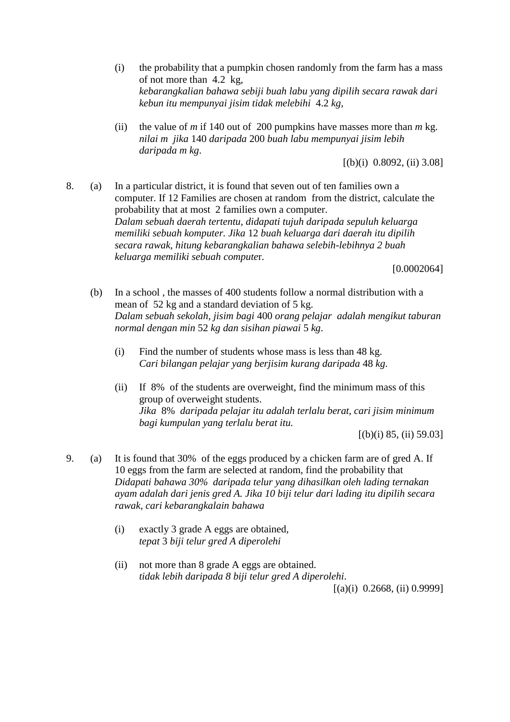- (i) the probability that a pumpkin chosen randomly from the farm has a mass of not more than 4.2 kg, *kebarangkalian bahawa sebiji buah labu yang dipilih secara rawak dari kebun itu mempunyai jisim tidak melebihi* 4.2 *kg*,
- (ii) the value of *m* if 140 out of 200 pumpkins have masses more than  $m$  kg. *nilai m jika* 140 *daripada* 200 *buah labu mempunyai jisim lebih daripada m kg*.

 $[(b)(i) 0.8092, (ii) 3.08]$ 

8. (a) In a particular district, it is found that seven out of ten families own a computer. If 12 Families are chosen at random from the district, calculate the probability that at most 2 families own a computer. *Dalam sebuah daerah tertentu, didapati tujuh daripada sepuluh keluarga memiliki sebuah komputer. Jika* 12 *buah keluarga dari daerah itu dipilih secara rawak, hitung kebarangkalian bahawa selebih-lebihnya 2 buah keluarga memiliki sebuah compute*r.

[0.0002064]

- (b) In a school , the masses of 400 students follow a normal distribution with a mean of 52 kg and a standard deviation of 5 kg. *Dalam sebuah sekolah, jisim bagi* 400 *orang pelajar adalah mengikut taburan normal dengan min* 52 *kg dan sisihan piawai* 5 *kg*.
	- (i) Find the number of students whose mass is less than 48 kg. *Cari bilangan pelajar yang berjisim kurang daripada* 48 *kg*.
	- (ii) If 8% of the students are overweight, find the minimum mass of this group of overweight students. *Jika* 8% *daripada pelajar itu adalah terlalu berat, cari jisim minimum bagi kumpulan yang terlalu berat itu.*

 $[(b)(i) 85, (ii) 59.03]$ 

- 9. (a) It is found that 30% of the eggs produced by a chicken farm are of gred A. If 10 eggs from the farm are selected at random, find the probability that *Didapati bahawa 30% daripada telur yang dihasilkan oleh lading ternakan ayam adalah dari jenis gred A. Jika 10 biji telur dari lading itu dipilih secara rawak, cari kebarangkalain bahawa*
	- (i) exactly 3 grade A eggs are obtained, *tepat* 3 *biji telur gred A diperolehi*
	- (ii) not more than 8 grade A eggs are obtained. *tidak lebih daripada 8 biji telur gred A diperolehi*.  $[(a)(i) 0.2668, (ii) 0.9999]$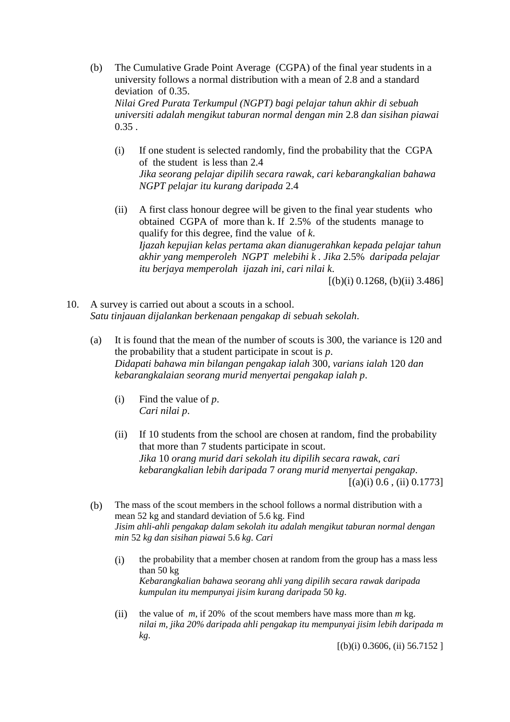(b) The Cumulative Grade Point Average (CGPA) of the final year students in a university follows a normal distribution with a mean of 2.8 and a standard deviation of 0.35.

*Nilai Gred Purata Terkumpul (NGPT) bagi pelajar tahun akhir di sebuah universiti adalah mengikut taburan normal dengan min* 2.8 *dan sisihan piawai* 0.35 .

- (i) If one student is selected randomly, find the probability that the CGPA of the student is less than 2.4 *Jika seorang pelajar dipilih secara rawak, cari kebarangkalian bahawa NGPT pelajar itu kurang daripada* 2.4
- (ii) A first class honour degree will be given to the final year students who obtained CGPA of more than k. If 2.5% of the students manage to qualify for this degree, find the value of *k*. *Ijazah kepujian kelas pertama akan dianugerahkan kepada pelajar tahun akhir yang memperoleh NGPT melebihi k . Jika* 2.5% *daripada pelajar itu berjaya memperolah ijazah ini, cari nilai k*.

 $[(b)(i) 0.1268, (b)(ii) 3.486]$ 

- 10. A survey is carried out about a scouts in a school. *Satu tinjauan dijalankan berkenaan pengakap di sebuah sekolah*.
	- (a) It is found that the mean of the number of scouts is 300, the variance is 120 and the probability that a student participate in scout is *p*. *Didapati bahawa min bilangan pengakap ialah* 300*, varians ialah* 120 *dan kebarangkalaian seorang murid menyertai pengakap ialah p*.
		- (i) Find the value of *p*. *Cari nilai p*.
		- (ii) If 10 students from the school are chosen at random, find the probability that more than 7 students participate in scout. *Jika* 10 *orang murid dari sekolah itu dipilih secara rawak, cari kebarangkalian lebih daripada* 7 *orang murid menyertai pengakap*.  $[(a)(i) 0.6, (ii) 0.1773]$
	- (b) The mass of the scout members in the school follows a normal distribution with a mean 52 kg and standard deviation of 5.6 kg. Find *Jisim ahli-ahli pengakap dalam sekolah itu adalah mengikut taburan normal dengan min* 52 *kg dan sisihan piawai* 5.6 *kg*. *Cari*
		- (i) the probability that a member chosen at random from the group has a mass less than 50 kg *Kebarangkalian bahawa seorang ahli yang dipilih secara rawak daripada kumpulan itu mempunyai jisim kurang daripada* 50 *kg*.
		- (ii) the value of *m*, if 20% of the scout members have mass more than *m* kg. *nilai m, jika 20% daripada ahli pengakap itu mempunyai jisim lebih daripada m kg*.

 $[(b)(i) 0.3606, (ii) 56.7152]$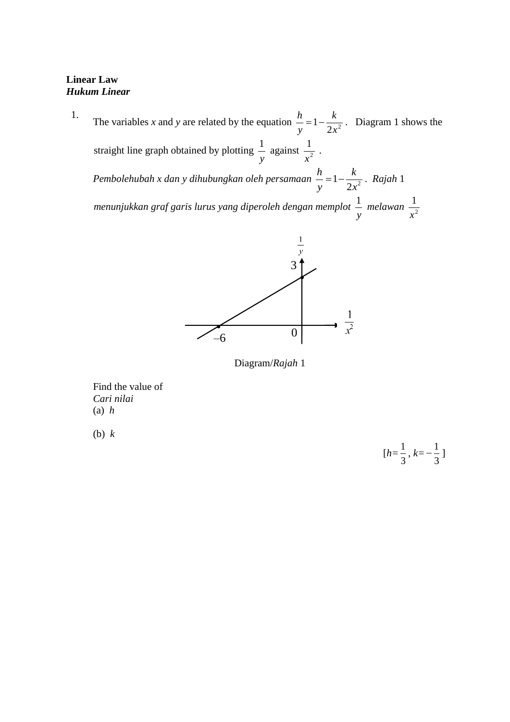# **Linear Law** *Hukum Linear*

1. The variables *x* and *y* are related by the equation  $\frac{n}{y} = 1 - \frac{\kappa}{2x^2}$ 1 *x k y*  $\frac{h}{n} = 1 - \frac{k}{2}$ . Diagram 1 shows the straight line graph obtained by plotting *y*  $\frac{1}{n}$  against  $\frac{1}{n^2}$ 1 *x* . Pembolehubah x dan y dihubungkan oleh persamaan  $\frac{n}{y} = 1 - \frac{\kappa}{2x^2}$ 1 *x k y*  $\frac{h}{k}$  = 1 –  $\frac{k}{k}$  · Rajah 1 *menunjukkan graf garis lurus yang diperoleh dengan memplot y*  $\frac{1}{m}$  *melawan*  $\frac{1}{m^2}$ 1 *x*



Diagram/*Rajah* 1

Find the value of *Cari nilai*  (a) *h*

(b) *k* 

$$
[h = \frac{1}{3}, k = -\frac{1}{3}]
$$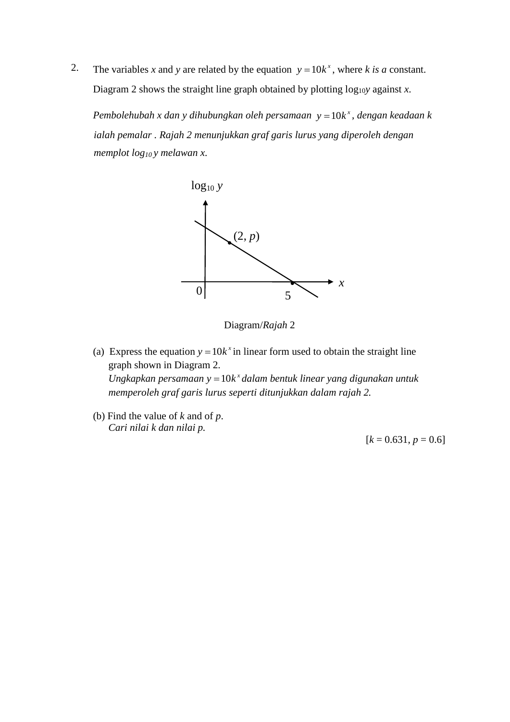2. The variables x and y are related by the equation  $y = 10k^x$ , where k is a constant. Diagram 2 shows the straight line graph obtained by plotting log<sub>10</sub>*y* against *x*.

*Pembolehubah x dan y dihubungkan oleh persamaan y* =  $10k^x$ , *dengan keadaan k ialah pemalar . Rajah 2 menunjukkan graf garis lurus yang diperoleh dengan memplot log10 y melawan x*.



Diagram/*Rajah* 2

- (a) Express the equation  $y = 10k^x$  in linear form used to obtain the straight line graph shown in Diagram 2. *Ungkapkan persamaan*  $y = 10k^x$  dalam bentuk linear yang digunakan untuk  *memperoleh graf garis lurus seperti ditunjukkan dalam rajah 2.*
- (b) Find the value of *k* and of *p*. *Cari nilai k dan nilai p.*

 $[k = 0.631, p = 0.6]$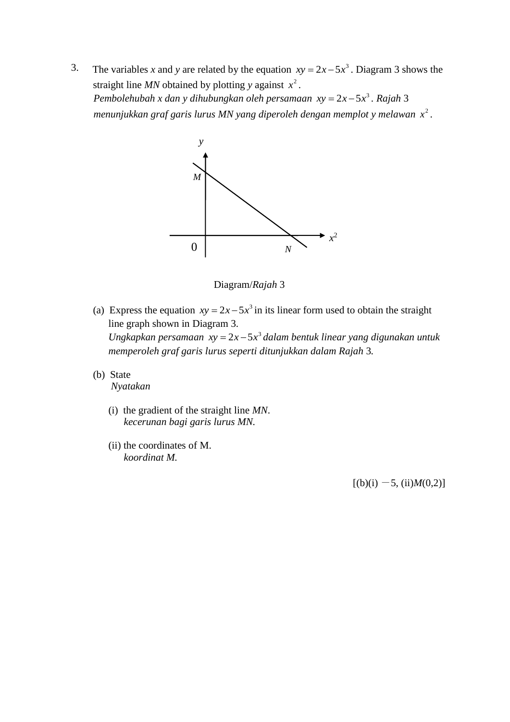3. The variables *x* and *y* are related by the equation  $xy = 2x - 5x^3$ . Diagram 3 shows the straight line *MN* obtained by plotting *y* against  $x^2$ . *Pembolehubah x dan y dihubungkan oleh persamaan*  $xy = 2x - 5x^3$ *. Rajah* 3 *menunjukkan graf garis lurus MN yang diperoleh dengan memplot y melawan*  2 *x* .



Diagram/*Rajah* 3

- (a) Express the equation  $xy = 2x 5x^3$  in its linear form used to obtain the straight line graph shown in Diagram 3. *Ungkapkan persamaan*  $xy = 2x - 5x^3$  dalam bentuk linear yang digunakan untuk  *memperoleh graf garis lurus seperti ditunjukkan dalam Rajah* 3*.*
- (b) State *Nyatakan* 
	- (i) the gradient of the straight line *MN*.  *kecerunan bagi garis lurus MN.*
	- (ii) the coordinates of M. *koordinat M.*

 $[(b)(i) -5, (ii)M(0,2)]$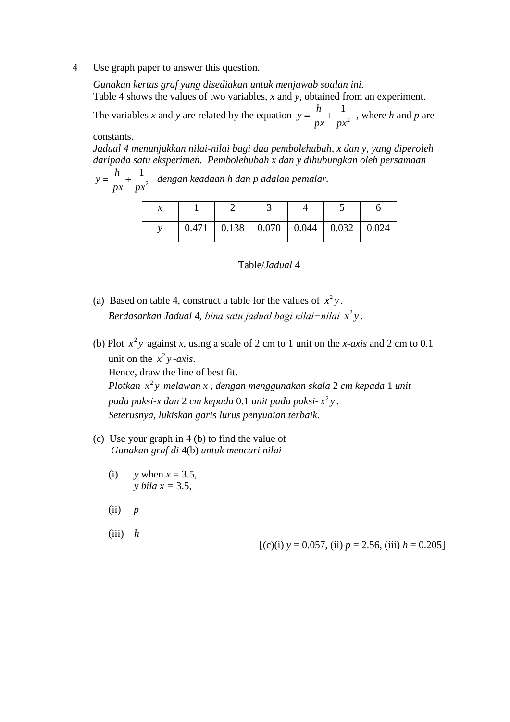4 Use graph paper to answer this question.

*Gunakan kertas graf yang disediakan untuk menjawab soalan ini.* Table 4 shows the values of two variables, *x* and *y*, obtained from an experiment.

The variables *x* and *y* are related by the equation  $y = \frac{n}{x} + \frac{1}{x^2}$ 1 *px px*  $y = \frac{h}{x} + \frac{1}{x^2}$ , where *h* and *p* are

constants.

*Jadual 4 menunjukkan nilai-nilai bagi dua pembolehubah, x dan y, yang diperoleh daripada satu eksperimen. Pembolehubah x dan y dihubungkan oleh persamaan* 

2 1 *px px*  $y = \frac{h}{h} + \frac{1}{2}$  dengan keadaan h dan p adalah pemalar.

|  |  | $0.471$   0.138   0.070   0.044   0.032   0.024 |  |
|--|--|-------------------------------------------------|--|

### Table/*Jadual* 4

- (a) Based on table 4, construct a table for the values of  $x^2y$ . *Berdasarkan Jadual* 4*, bina satu jadual bagi nilai−nilai x y* 2 .
- (b) Plot  $x^2y$  against *x*, using a scale of 2 cm to 1 unit on the *x-axis* and 2 cm to 0.1 unit on the  $x^2y$ -axis. Hence, draw the line of best fit. *Plotkan*  $x^2y$  melawan x, dengan menggunakan skala 2 *cm kepada* 1 *unit pada paksi*-*x dan* 2 *cm kepada* 0.1 *unit pada paksi- x y* 2 *.*

 *Seterusnya, lukiskan garis lurus penyuaian terbaik.*

- (c) Use your graph in 4 (b) to find the value of *Gunakan graf di* 4(b) *untuk mencari nilai*
	- (i)  $y$  when  $x = 3.5$ , *v bila*  $x = 3.5$ ,
	- (ii) *p*
	- $(iii)$  *h*

 $[(c)(i)$   $y = 0.057$ , (ii)  $p = 2.56$ , (iii)  $h = 0.205$ ]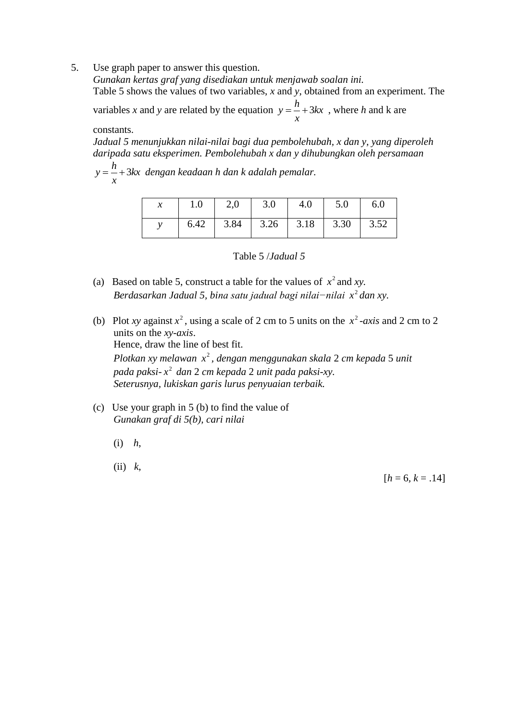5. Use graph paper to answer this question.

*Gunakan kertas graf yang disediakan untuk menjawab soalan ini.* Table 5 shows the values of two variables, *x* and *y*, obtained from an experiment. The variables x and y are related by the equation  $y = -\frac{\lambda}{x} + 3kx$ *x*  $y = \frac{h}{h} + 3kx$ , where *h* and k are

constants.

*Jadual 5 menunjukkan nilai-nilai bagi dua pembolehubah, x dan y, yang diperoleh daripada satu eksperimen. Pembolehubah x dan y dihubungkan oleh persamaan* 

*kx x h y* 3 *dengan keadaan h dan k adalah pemalar.* 

| 1.0 | $\begin{array}{ c c c c } \hline 2,0 & 3.0 \\ \hline \end{array}$ | $\vert$ 4.0 | $\vert$ 5.0                               | 6.0 |
|-----|-------------------------------------------------------------------|-------------|-------------------------------------------|-----|
|     |                                                                   |             | $6.42$   3.84   3.26   3.18   3.30   3.52 |     |



- (a) Based on table 5, construct a table for the values of  $x^2$  and *xy*. *Berdasarkan Jadual 5, bina satu jadual bagi nilai−nilai*  2 *x dan xy.*
- (b) Plot *xy* against  $x^2$ , using a scale of 2 cm to 5 units on the  $x^2$ -axis and 2 cm to 2 units on the *xy-axis*. Hence, draw the line of best fit. *Plotkan xy melawan*  2 *x , dengan menggunakan skala* 2 *cm kepada* 5 *unit pada paksi*-2 *x dan* 2 *cm kepada* 2 *unit pada paksi-xy. Seterusnya, lukiskan garis lurus penyuaian terbaik.*
- (c) Use your graph in 5 (b) to find the value of *Gunakan graf di 5(b), cari nilai*
	- (i) *h*,
	- (ii) *k*,

 $[h = 6, k = .14]$